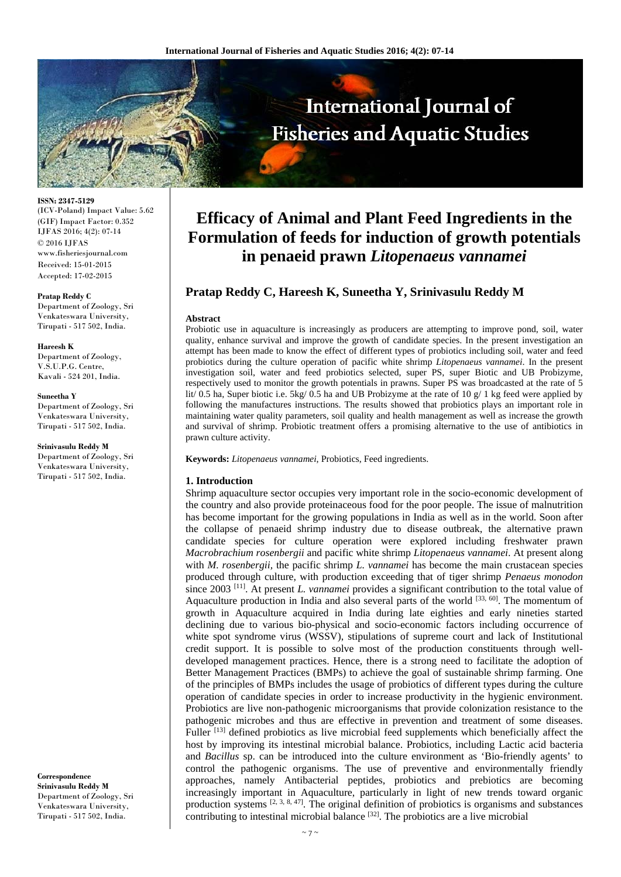

**ISSN: 2347-5129**  (ICV-Poland) Impact Value: 5.62 (GIF) Impact Factor: 0.352 IJFAS 2016; 4(2): 07-14 © 2016 IJFAS www.fisheriesjournal.com Received: 15-01-2015 Accepted: 17-02-2015

**Pratap Reddy C**  Department of Zoology, Sri Venkateswara University, Tirupati - 517 502, India.

## **Hareesh K**

Department of Zoology, V.S.U.P.G. Centre, Kavali - 524 201, India.

#### **Suneetha Y**

Department of Zoology, Sri Venkateswara University, Tirupati - 517 502, India.

#### **Srinivasulu Reddy M**

Department of Zoology, Sri Venkateswara University, Tirupati - 517 502, India.

**Correspondence Srinivasulu Reddy M**  Department of Zoology, Sri Venkateswara University, Tirupati - 517 502, India.

# **Efficacy of Animal and Plant Feed Ingredients in the Formulation of feeds for induction of growth potentials in penaeid prawn** *Litopenaeus vannamei*

# **Pratap Reddy C, Hareesh K, Suneetha Y, Srinivasulu Reddy M**

#### **Abstract**

Probiotic use in aquaculture is increasingly as producers are attempting to improve pond, soil, water quality, enhance survival and improve the growth of candidate species. In the present investigation an attempt has been made to know the effect of different types of probiotics including soil, water and feed probiotics during the culture operation of pacific white shrimp *Litopenaeus vannamei*. In the present investigation soil, water and feed probiotics selected, super PS, super Biotic and UB Probizyme, respectively used to monitor the growth potentials in prawns. Super PS was broadcasted at the rate of 5 lit/ 0.5 ha, Super biotic i.e. 5kg/ 0.5 ha and UB Probizyme at the rate of 10  $g/1$  kg feed were applied by following the manufactures instructions. The results showed that probiotics plays an important role in maintaining water quality parameters, soil quality and health management as well as increase the growth and survival of shrimp. Probiotic treatment offers a promising alternative to the use of antibiotics in prawn culture activity.

**Keywords:** *Litopenaeus vannamei*, Probiotics, Feed ingredients.

## **1. Introduction**

Shrimp aquaculture sector occupies very important role in the socio-economic development of the country and also provide proteinaceous food for the poor people. The issue of malnutrition has become important for the growing populations in India as well as in the world. Soon after the collapse of penaeid shrimp industry due to disease outbreak, the alternative prawn candidate species for culture operation were explored including freshwater prawn *Macrobrachium rosenbergii* and pacific white shrimp *Litopenaeus vannamei*. At present along with *M. rosenbergii,* the pacific shrimp *L. vannamei* has become the main crustacean species produced through culture, with production exceeding that of tiger shrimp *Penaeus monodon*  since 2003 [11]. At present *L. vannamei* provides a significant contribution to the total value of Aquaculture production in India and also several parts of the world  $^{[33, 60]}$ . The momentum of growth in Aquaculture acquired in India during late eighties and early nineties started declining due to various bio-physical and socio-economic factors including occurrence of white spot syndrome virus (WSSV), stipulations of supreme court and lack of Institutional credit support. It is possible to solve most of the production constituents through welldeveloped management practices. Hence, there is a strong need to facilitate the adoption of Better Management Practices (BMPs) to achieve the goal of sustainable shrimp farming. One of the principles of BMPs includes the usage of probiotics of different types during the culture operation of candidate species in order to increase productivity in the hygienic environment. Probiotics are live non-pathogenic microorganisms that provide colonization resistance to the pathogenic microbes and thus are effective in prevention and treatment of some diseases. Fuller<sup>[13]</sup> defined probiotics as live microbial feed supplements which beneficially affect the host by improving its intestinal microbial balance. Probiotics, including Lactic acid bacteria and *Bacillus* sp. can be introduced into the culture environment as 'Bio-friendly agents' to control the pathogenic organisms. The use of preventive and environmentally friendly approaches, namely Antibacterial peptides, probiotics and prebiotics are becoming increasingly important in Aquaculture, particularly in light of new trends toward organic production systems  $[2, 3, 8, 47]$ . The original definition of probiotics is organisms and substances contributing to intestinal microbial balance [32]. The probiotics are a live microbial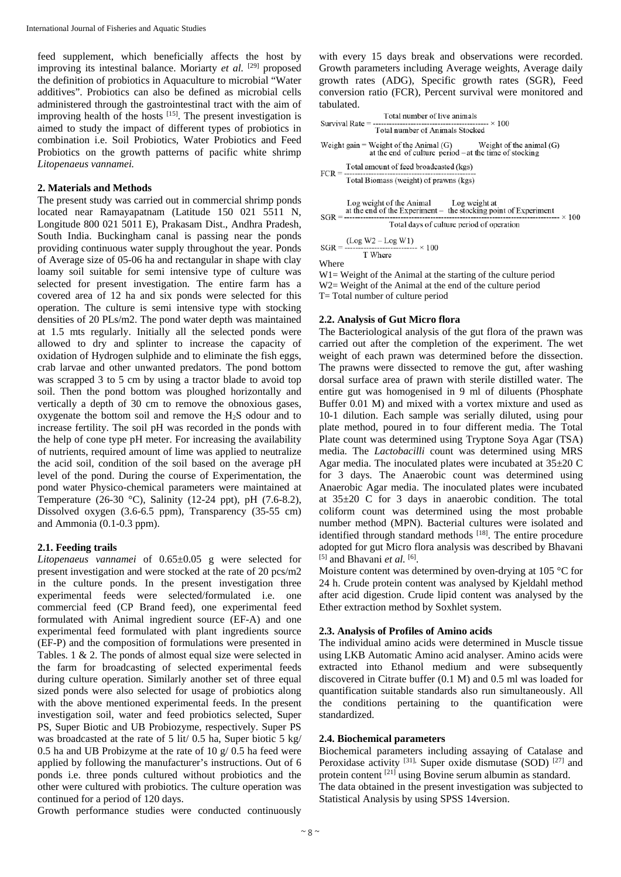feed supplement, which beneficially affects the host by improving its intestinal balance. Moriarty et al. <sup>[29]</sup> proposed the definition of probiotics in Aquaculture to microbial "Water additives". Probiotics can also be defined as microbial cells administered through the gastrointestinal tract with the aim of improving health of the hosts [15]. The present investigation is aimed to study the impact of different types of probiotics in combination i.e. Soil Probiotics, Water Probiotics and Feed Probiotics on the growth patterns of pacific white shrimp *Litopenaeus vannamei.*

#### **2. Materials and Methods**

The present study was carried out in commercial shrimp ponds located near Ramayapatnam (Latitude 150 021 5511 N, Longitude 800 021 5011 E), Prakasam Dist., Andhra Pradesh, South India. Buckingham canal is passing near the ponds providing continuous water supply throughout the year. Ponds of Average size of 05-06 ha and rectangular in shape with clay loamy soil suitable for semi intensive type of culture was selected for present investigation. The entire farm has a covered area of 12 ha and six ponds were selected for this operation. The culture is semi intensive type with stocking densities of 20 PLs/m2. The pond water depth was maintained at 1.5 mts regularly. Initially all the selected ponds were allowed to dry and splinter to increase the capacity of oxidation of Hydrogen sulphide and to eliminate the fish eggs, crab larvae and other unwanted predators. The pond bottom was scrapped 3 to 5 cm by using a tractor blade to avoid top soil. Then the pond bottom was ploughed horizontally and vertically a depth of 30 cm to remove the obnoxious gases, oxygenate the bottom soil and remove the H2S odour and to increase fertility. The soil pH was recorded in the ponds with the help of cone type pH meter. For increasing the availability of nutrients, required amount of lime was applied to neutralize the acid soil, condition of the soil based on the average pH level of the pond. During the course of Experimentation, the pond water Physico-chemical parameters were maintained at Temperature (26-30 °C), Salinity (12-24 ppt), pH (7.6-8.2), Dissolved oxygen (3.6-6.5 ppm), Transparency (35-55 cm) and Ammonia (0.1-0.3 ppm).

#### **2.1. Feeding trails**

*Litopenaeus vannamei* of 0.65±0.05 g were selected for present investigation and were stocked at the rate of 20 pcs/m2 in the culture ponds. In the present investigation three experimental feeds were selected/formulated i.e. one commercial feed (CP Brand feed), one experimental feed formulated with Animal ingredient source (EF-A) and one experimental feed formulated with plant ingredients source (EF-P) and the composition of formulations were presented in Tables. 1 & 2. The ponds of almost equal size were selected in the farm for broadcasting of selected experimental feeds during culture operation. Similarly another set of three equal sized ponds were also selected for usage of probiotics along with the above mentioned experimental feeds. In the present investigation soil, water and feed probiotics selected, Super PS, Super Biotic and UB Probiozyme, respectively. Super PS was broadcasted at the rate of 5 lit/ 0.5 ha, Super biotic 5 kg/ 0.5 ha and UB Probizyme at the rate of 10 g/ 0.5 ha feed were applied by following the manufacturer's instructions. Out of 6 ponds i.e. three ponds cultured without probiotics and the other were cultured with probiotics. The culture operation was continued for a period of 120 days.

with every 15 days break and observations were recorded. Growth parameters including Average weights, Average daily growth rates (ADG), Specific growth rates (SGR), Feed conversion ratio (FCR), Percent survival were monitored and tabulated.

| Total number of live animals                                                                                           |  |  |  |  |
|------------------------------------------------------------------------------------------------------------------------|--|--|--|--|
| Total number of Animals Stocked                                                                                        |  |  |  |  |
| Weight gain = Weight of the Animal (G) Weight of the animal (G) at the end of culture period – at the time of stocking |  |  |  |  |
| Total amount of feed broadcasted (kgs)                                                                                 |  |  |  |  |
| Total Biomass (weight) of prawns (kgs)                                                                                 |  |  |  |  |
| Log weight of the Animal Log weight at<br>at the end of the Experiment – the stocking point of Experiment              |  |  |  |  |
| Total days of culture period of operation                                                                              |  |  |  |  |
| $($ Log W2 – Log W1)                                                                                                   |  |  |  |  |

: – Log w 1)<br>---------------- × 100  $SGR = \frac{(Log N)}{2}$ T Where

Where

W1= Weight of the Animal at the starting of the culture period W<sub>2</sub> Weight of the Animal at the end of the culture period T= Total number of culture period

## **2.2. Analysis of Gut Micro flora**

The Bacteriological analysis of the gut flora of the prawn was carried out after the completion of the experiment. The wet weight of each prawn was determined before the dissection. The prawns were dissected to remove the gut, after washing dorsal surface area of prawn with sterile distilled water. The entire gut was homogenised in 9 ml of diluents (Phosphate Buffer 0.01 M) and mixed with a vortex mixture and used as 10-1 dilution. Each sample was serially diluted, using pour plate method, poured in to four different media. The Total Plate count was determined using Tryptone Soya Agar (TSA) media. The *Lactobacilli* count was determined using MRS Agar media. The inoculated plates were incubated at 35±20 C for 3 days. The Anaerobic count was determined using Anaerobic Agar media. The inoculated plates were incubated at 35±20 C for 3 days in anaerobic condition. The total coliform count was determined using the most probable number method (MPN). Bacterial cultures were isolated and identified through standard methods <sup>[18]</sup>. The entire procedure adopted for gut Micro flora analysis was described by Bhavani [5] and Bhavani *et al.* [6].

Moisture content was determined by oven-drying at 105 °C for 24 h. Crude protein content was analysed by Kjeldahl method after acid digestion. Crude lipid content was analysed by the Ether extraction method by Soxhlet system.

## **2.3. Analysis of Profiles of Amino acids**

The individual amino acids were determined in Muscle tissue using LKB Automatic Amino acid analyser. Amino acids were extracted into Ethanol medium and were subsequently discovered in Citrate buffer (0.1 M) and 0.5 ml was loaded for quantification suitable standards also run simultaneously. All the conditions pertaining to the quantification were standardized.

### **2.4. Biochemical parameters**

Biochemical parameters including assaying of Catalase and Peroxidase activity <sup>[31]</sup>, Super oxide dismutase (SOD) <sup>[27]</sup> and protein content [21] using Bovine serum albumin as standard. The data obtained in the present investigation was subjected to Statistical Analysis by using SPSS 14version.

Growth performance studies were conducted continuously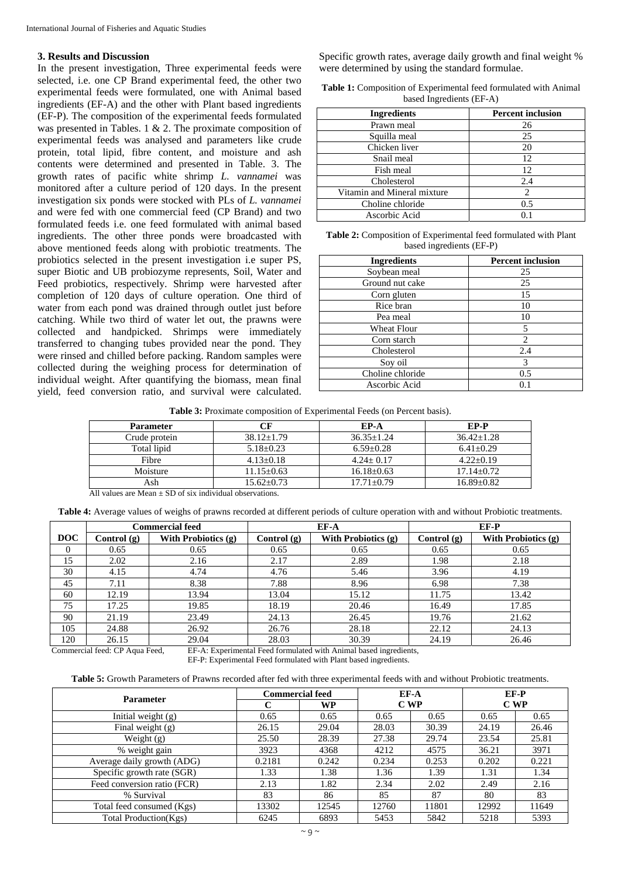## **3. Results and Discussion**

In the present investigation, Three experimental feeds were selected, i.e. one CP Brand experimental feed, the other two experimental feeds were formulated, one with Animal based ingredients (EF-A) and the other with Plant based ingredients (EF-P). The composition of the experimental feeds formulated was presented in Tables. 1 & 2. The proximate composition of experimental feeds was analysed and parameters like crude protein, total lipid, fibre content, and moisture and ash contents were determined and presented in Table. 3. The growth rates of pacific white shrimp *L. vannamei* was monitored after a culture period of 120 days. In the present investigation six ponds were stocked with PLs of *L. vannamei*  and were fed with one commercial feed (CP Brand) and two formulated feeds i.e. one feed formulated with animal based ingredients. The other three ponds were broadcasted with above mentioned feeds along with probiotic treatments. The probiotics selected in the present investigation i.e super PS, super Biotic and UB probiozyme represents, Soil, Water and Feed probiotics, respectively. Shrimp were harvested after completion of 120 days of culture operation. One third of water from each pond was drained through outlet just before catching. While two third of water let out, the prawns were collected and handpicked. Shrimps were immediately transferred to changing tubes provided near the pond. They were rinsed and chilled before packing. Random samples were collected during the weighing process for determination of individual weight. After quantifying the biomass, mean final yield, feed conversion ratio, and survival were calculated.

Specific growth rates, average daily growth and final weight % were determined by using the standard formulae.

| <b>Table 1:</b> Composition of Experimental feed formulated with Animal |  |
|-------------------------------------------------------------------------|--|
| based Ingredients (EF-A)                                                |  |

| <b>Ingredients</b>          | <b>Percent inclusion</b> |
|-----------------------------|--------------------------|
| Prawn meal                  | 26                       |
| Squilla meal                | 25                       |
| Chicken liver               | 20                       |
| Snail meal                  | 12                       |
| Fish meal                   | 12                       |
| Cholesterol                 | 2.4                      |
| Vitamin and Mineral mixture |                          |
| Choline chloride            | 0.5                      |
| Ascorbic Acid               |                          |

**Table 2:** Composition of Experimental feed formulated with Plant based ingredients (EF-P)

| <b>Ingredients</b> | <b>Percent inclusion</b> |
|--------------------|--------------------------|
| Soybean meal       | 25                       |
| Ground nut cake    | 25                       |
| Corn gluten        | 15                       |
| Rice bran          | 10                       |
| Pea meal           | 10                       |
| <b>Wheat Flour</b> | 5                        |
| Corn starch        | $\overline{c}$           |
| Cholesterol        | 2.4                      |
| Soy oil            | 3                        |
| Choline chloride   | 0.5                      |
| Ascorbic Acid      | 0.1                      |

**Table 3:** Proximate composition of Experimental Feeds (on Percent basis).

| <b>Parameter</b> | CF             | EP-A           | EP-P           |
|------------------|----------------|----------------|----------------|
| Crude protein    | $38.12 + 1.79$ | $36.35 + 1.24$ | $36.42 + 1.28$ |
| Total lipid      | $5.18 + 0.23$  | $6.59 + 0.28$  | $6.41 + 0.29$  |
| Fibre            | $4.13 + 0.18$  | $4.24 + 0.17$  | $4.22+0.19$    |
| Moisture         | $11.15 + 0.63$ | $16.18 + 0.63$ | $17.14 + 0.72$ |
| Ash              | $15.62 + 0.73$ | $17.71 + 0.79$ | $16.89 + 0.82$ |

All values are Mean  $\pm$  SD of six individual observations.

**Table 4:** Average values of weighs of prawns recorded at different periods of culture operation with and without Probiotic treatments.

|            | <b>Commercial feed</b> |                            | EF-A          |                       |               | EF-P                |
|------------|------------------------|----------------------------|---------------|-----------------------|---------------|---------------------|
| <b>DOC</b> | Control (g)            | <b>With Probiotics (g)</b> | Control $(g)$ | With Probiotics $(g)$ | Control $(g)$ | With Probiotics (g) |
| $\theta$   | 0.65                   | 0.65                       | 0.65          | 0.65                  | 0.65          | 0.65                |
| 15         | 2.02                   | 2.16                       | 2.17          | 2.89                  | 1.98          | 2.18                |
| 30         | 4.15                   | 4.74                       | 4.76          | 5.46                  | 3.96          | 4.19                |
| 45         | 7.11                   | 8.38                       | 7.88          | 8.96                  | 6.98          | 7.38                |
| 60         | 12.19                  | 13.94                      | 13.04         | 15.12                 | 11.75         | 13.42               |
| 75         | 17.25                  | 19.85                      | 18.19         | 20.46                 | 16.49         | 17.85               |
| 90         | 21.19                  | 23.49                      | 24.13         | 26.45                 | 19.76         | 21.62               |
| 105        | 24.88                  | 26.92                      | 26.76         | 28.18                 | 22.12         | 24.13               |
| 120        | 26.15                  | 29.04                      | 28.03         | 30.39                 | 24.19         | 26.46               |

Commercial feed: CP Aqua Feed, EF-A: Experimental Feed formulated with Animal based ingredients,

EF-P: Experimental Feed formulated with Plant based ingredients.

**Table 5:** Growth Parameters of Prawns recorded after fed with three experimental feeds with and without Probiotic treatments.

| <b>Parameter</b>            | <b>Commercial feed</b> |       | EF-A  |       | EF-P  |       |
|-----------------------------|------------------------|-------|-------|-------|-------|-------|
|                             | C                      | WP    | CWP   |       | CWP   |       |
| Initial weight $(g)$        | 0.65                   | 0.65  | 0.65  | 0.65  | 0.65  | 0.65  |
| Final weight $(g)$          | 26.15                  | 29.04 | 28.03 | 30.39 | 24.19 | 26.46 |
| Weight $(g)$                | 25.50                  | 28.39 | 27.38 | 29.74 | 23.54 | 25.81 |
| % weight gain               | 3923                   | 4368  | 4212  | 4575  | 36.21 | 3971  |
| Average daily growth (ADG)  | 0.2181                 | 0.242 | 0.234 | 0.253 | 0.202 | 0.221 |
| Specific growth rate (SGR)  | 1.33                   | 1.38  | 1.36  | 1.39  | 1.31  | 1.34  |
| Feed conversion ratio (FCR) | 2.13                   | 1.82  | 2.34  | 2.02  | 2.49  | 2.16  |
| % Survival                  | 83                     | 86    | 85    | 87    | 80    | 83    |
| Total feed consumed (Kgs)   | 13302                  | 12545 | 12760 | 11801 | 12992 | 11649 |
| Total Production(Kgs)       | 6245                   | 6893  | 5453  | 5842  | 5218  | 5393  |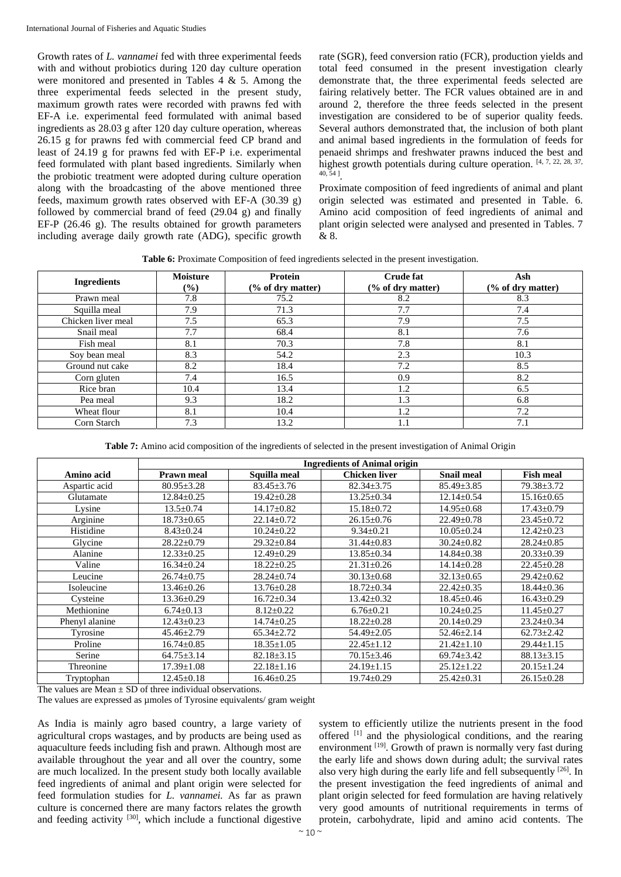Growth rates of *L. vannamei* fed with three experimental feeds with and without probiotics during 120 day culture operation were monitored and presented in Tables 4 & 5. Among the three experimental feeds selected in the present study, maximum growth rates were recorded with prawns fed with EF-A i.e. experimental feed formulated with animal based ingredients as 28.03 g after 120 day culture operation, whereas 26.15 g for prawns fed with commercial feed CP brand and least of 24.19 g for prawns fed with EF-P i.e. experimental feed formulated with plant based ingredients. Similarly when the probiotic treatment were adopted during culture operation along with the broadcasting of the above mentioned three feeds, maximum growth rates observed with EF-A (30.39 g) followed by commercial brand of feed (29.04 g) and finally EF-P (26.46 g). The results obtained for growth parameters including average daily growth rate (ADG), specific growth

rate (SGR), feed conversion ratio (FCR), production yields and total feed consumed in the present investigation clearly demonstrate that, the three experimental feeds selected are fairing relatively better. The FCR values obtained are in and around 2, therefore the three feeds selected in the present investigation are considered to be of superior quality feeds. Several authors demonstrated that, the inclusion of both plant and animal based ingredients in the formulation of feeds for penaeid shrimps and freshwater prawns induced the best and highest growth potentials during culture operation. [4, 7, 22, 28, 37, 40, 54 ].

Proximate composition of feed ingredients of animal and plant origin selected was estimated and presented in Table. 6. Amino acid composition of feed ingredients of animal and plant origin selected were analysed and presented in Tables. 7 & 8.

**Table 6:** Proximate Composition of feed ingredients selected in the present investigation.

| <b>Ingredients</b> | <b>Moisture</b><br>$(\%)$ | Protein<br>(% of dry matter) | <b>Crude fat</b><br>(% of dry matter) | Ash<br>$(\%$ of dry matter) |
|--------------------|---------------------------|------------------------------|---------------------------------------|-----------------------------|
| Prawn meal         | 7.8                       | 75.2                         | 8.2                                   | 8.3                         |
| Squilla meal       | 7.9                       | 71.3                         | 7.7                                   | 7.4                         |
| Chicken liver meal | 7.5                       | 65.3                         | 7.9                                   | 7.5                         |
| Snail meal         | 7.7                       | 68.4                         | 8.1                                   | 7.6                         |
| Fish meal          | 8.1                       | 70.3                         | 7.8                                   | 8.1                         |
| Soy bean meal      | 8.3                       | 54.2                         | 2.3                                   | 10.3                        |
| Ground nut cake    | 8.2                       | 18.4                         | 7.2                                   | 8.5                         |
| Corn gluten        | 7.4                       | 16.5                         | 0.9                                   | 8.2                         |
| Rice bran          | 10.4                      | 13.4                         | 1.2                                   | 6.5                         |
| Pea meal           | 9.3                       | 18.2                         | 1.3                                   | 6.8                         |
| Wheat flour        | 8.1                       | 10.4                         | 1.2                                   | 7.2                         |
| Corn Starch        | 7.3                       | 13.2                         | 1.1                                   | 7.1                         |

**Table 7:** Amino acid composition of the ingredients of selected in the present investigation of Animal Origin

|                | <b>Ingredients of Animal origin</b> |                  |                      |                   |                  |  |  |
|----------------|-------------------------------------|------------------|----------------------|-------------------|------------------|--|--|
| Amino acid     | <b>Prawn meal</b>                   | Squilla meal     | <b>Chicken liver</b> | <b>Snail meal</b> | <b>Fish meal</b> |  |  |
| Aspartic acid  | $80.95 \pm 3.28$                    | $83.45 \pm 3.76$ | $82.34 \pm 3.75$     | $85.49 \pm 3.85$  | $79.38 \pm 3.72$ |  |  |
| Glutamate      | $12.84 \pm 0.25$                    | $19.42 \pm 0.28$ | $13.25 \pm 0.34$     | $12.14 \pm 0.54$  | $15.16 \pm 0.65$ |  |  |
| Lysine         | $13.5 \pm 0.74$                     | $14.17 \pm 0.82$ | $15.18 \pm 0.72$     | $14.95 \pm 0.68$  | $17.43 \pm 0.79$ |  |  |
| Arginine       | $18.73 \pm 0.65$                    | $22.14 \pm 0.72$ | $26.15 \pm 0.76$     | $22.49 \pm 0.78$  | $23.45 \pm 0.72$ |  |  |
| Histidine      | $8.43 \pm 0.24$                     | $10.24 \pm 0.22$ | $9.34 \pm 0.21$      | $10.05 \pm 0.24$  | $12.42 \pm 0.23$ |  |  |
| Glycine        | $28.22 \pm 0.79$                    | $29.32 \pm 0.84$ | $31.44 \pm 0.83$     | $30.24 \pm 0.82$  | $28.24 \pm 0.85$ |  |  |
| Alanine        | $12.33 \pm 0.25$                    | $12.49 \pm 0.29$ | $13.85 \pm 0.34$     | $14.84 \pm 0.38$  | $20.33 \pm 0.39$ |  |  |
| Valine         | $16.34 \pm 0.24$                    | $18.22 \pm 0.25$ | $21.31 \pm 0.26$     | $14.14 \pm 0.28$  | $22.45 \pm 0.28$ |  |  |
| Leucine        | $26.74 \pm 0.75$                    | $28.24 \pm 0.74$ | $30.13 \pm 0.68$     | $32.13 \pm 0.65$  | $29.42 \pm 0.62$ |  |  |
| Isoleucine     | $13.46 \pm 0.26$                    | $13.76 \pm 0.28$ | $18.72 \pm 0.34$     | $22.42 \pm 0.35$  | $18.44 \pm 0.36$ |  |  |
| Cysteine       | $13.36 \pm 0.29$                    | $16.72 \pm 0.34$ | $13.42 \pm 0.32$     | $18.45 \pm 0.46$  | $16.43 \pm 0.29$ |  |  |
| Methionine     | $6.74 \pm 0.13$                     | $8.12 \pm 0.22$  | $6.76 \pm 0.21$      | $10.24 \pm 0.25$  | $11.45 \pm 0.27$ |  |  |
| Phenyl alanine | $12.43 \pm 0.23$                    | $14.74 \pm 0.25$ | $18.22 \pm 0.28$     | $20.14 \pm 0.29$  | $23.24 \pm 0.34$ |  |  |
| Tyrosine       | $45.46 \pm 2.79$                    | $65.34 \pm 2.72$ | $54.49 \pm 2.05$     | $52.46 \pm 2.14$  | $62.73 \pm 2.42$ |  |  |
| Proline        | $16.74 \pm 0.85$                    | $18.35 \pm 1.05$ | $22.45 \pm 1.12$     | $21.42 \pm 1.10$  | $29.44 \pm 1.15$ |  |  |
| Serine         | $64.75 \pm 3.14$                    | $82.18 \pm 3.15$ | $70.15 \pm 3.46$     | $69.74 \pm 3.42$  | $88.13 \pm 3.15$ |  |  |
| Threonine      | $17.39 \pm 1.08$                    | $22.18 \pm 1.16$ | $24.19 \pm 1.15$     | $25.12 \pm 1.22$  | $20.15 \pm 1.24$ |  |  |
| Tryptophan     | $12.45 \pm 0.18$                    | $16.46 \pm 0.25$ | $19.74 \pm 0.29$     | $25.42 \pm 0.31$  | $26.15 \pm 0.28$ |  |  |

The values are Mean  $\pm$  SD of three individual observations.

The values are expressed as umoles of Tyrosine equivalents/ gram weight

As India is mainly agro based country, a large variety of agricultural crops wastages, and by products are being used as aquaculture feeds including fish and prawn. Although most are available throughout the year and all over the country, some are much localized. In the present study both locally available feed ingredients of animal and plant origin were selected for feed formulation studies for *L. vannamei.* As far as prawn culture is concerned there are many factors relates the growth and feeding activity <sup>[30]</sup>, which include a functional digestive system to efficiently utilize the nutrients present in the food offered [1] and the physiological conditions, and the rearing environment <sup>[19]</sup>. Growth of prawn is normally very fast during the early life and shows down during adult; the survival rates also very high during the early life and fell subsequently  $[26]$ . In the present investigation the feed ingredients of animal and plant origin selected for feed formulation are having relatively very good amounts of nutritional requirements in terms of protein, carbohydrate, lipid and amino acid contents. The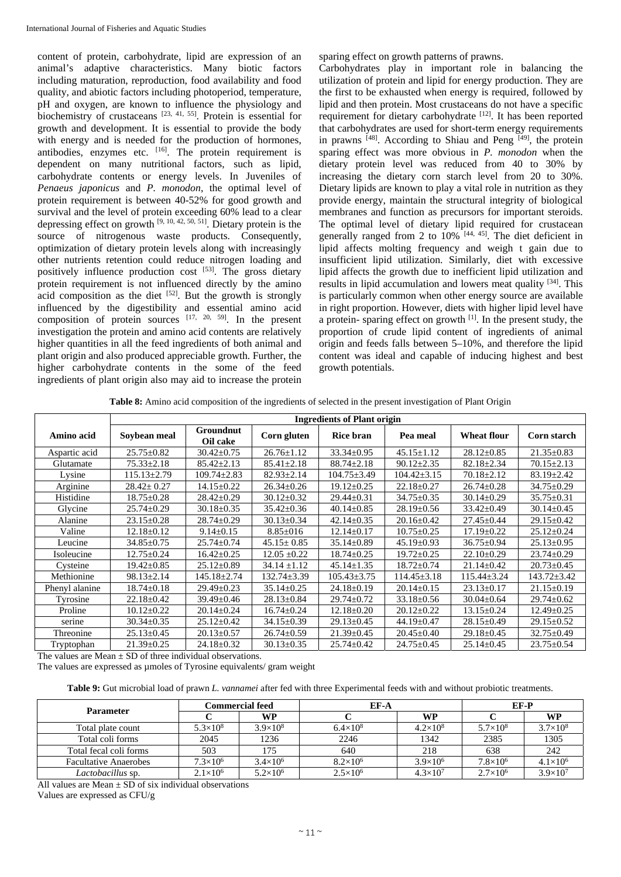content of protein, carbohydrate, lipid are expression of an animal's adaptive characteristics. Many biotic factors including maturation, reproduction, food availability and food quality, and abiotic factors including photoperiod, temperature, pH and oxygen, are known to influence the physiology and biochemistry of crustaceans  $[23, 41, 55]$ . Protein is essential for growth and development. It is essential to provide the body with energy and is needed for the production of hormones, antibodies, enzymes etc.  $[16]$ . The protein requirement is dependent on many nutritional factors, such as lipid, carbohydrate contents or energy levels. In Juveniles of *Penaeus japonicus* and *P. monodon*, the optimal level of protein requirement is between 40-52% for good growth and survival and the level of protein exceeding 60% lead to a clear depressing effect on growth  $[9, 10, 42, 50, 51]$ . Dietary protein is the source of nitrogenous waste products. Consequently, optimization of dietary protein levels along with increasingly other nutrients retention could reduce nitrogen loading and positively influence production cost [53]. The gross dietary protein requirement is not influenced directly by the amino acid composition as the diet  $[52]$ . But the growth is strongly influenced by the digestibility and essential amino acid composition of protein sources  $[17, 20, 59]$ . In the present investigation the protein and amino acid contents are relatively higher quantities in all the feed ingredients of both animal and plant origin and also produced appreciable growth. Further, the higher carbohydrate contents in the some of the feed ingredients of plant origin also may aid to increase the protein sparing effect on growth patterns of prawns.

Carbohydrates play in important role in balancing the utilization of protein and lipid for energy production. They are the first to be exhausted when energy is required, followed by lipid and then protein. Most crustaceans do not have a specific requirement for dietary carbohydrate [12]. It has been reported that carbohydrates are used for short-term energy requirements in prawns [48]. According to Shiau and Peng [49], the protein sparing effect was more obvious in *P. monodon* when the dietary protein level was reduced from 40 to 30% by increasing the dietary corn starch level from 20 to 30%. Dietary lipids are known to play a vital role in nutrition as they provide energy, maintain the structural integrity of biological membranes and function as precursors for important steroids. The optimal level of dietary lipid required for crustacean generally ranged from 2 to  $10\%$ <sup>[44, 45]</sup>. The diet deficient in lipid affects molting frequency and weigh t gain due to insufficient lipid utilization. Similarly, diet with excessive lipid affects the growth due to inefficient lipid utilization and results in lipid accumulation and lowers meat quality [34]. This is particularly common when other energy source are available in right proportion. However, diets with higher lipid level have a protein- sparing effect on growth [1]. In the present study, the proportion of crude lipid content of ingredients of animal origin and feeds falls between 5–10%, and therefore the lipid content was ideal and capable of inducing highest and best growth potentials.

**Table 8:** Amino acid composition of the ingredients of selected in the present investigation of Plant Origin

|                | <b>Ingredients of Plant origin</b> |                              |                   |                   |                   |                    |                   |  |
|----------------|------------------------------------|------------------------------|-------------------|-------------------|-------------------|--------------------|-------------------|--|
| Amino acid     | Soybean meal                       | <b>Groundnut</b><br>Oil cake | Corn gluten       | <b>Rice bran</b>  | Pea meal          | <b>Wheat flour</b> | Corn starch       |  |
| Aspartic acid  | $25.75 \pm 0.82$                   | $30.42 \pm 0.75$             | $26.76 \pm 1.12$  | $33.34 \pm 0.95$  | $45.15 \pm 1.12$  | $28.12 \pm 0.85$   | $21.35 \pm 0.83$  |  |
| Glutamate      | $75.33 \pm 2.18$                   | $85.42 \pm 2.13$             | $85.41 \pm 2.18$  | $88.74 \pm 2.18$  | $90.12 \pm 2.35$  | $82.18 \pm 2.34$   | $70.15 \pm 2.13$  |  |
| Lysine         | $115.13 \pm 2.79$                  | $109.74 \pm 2.83$            | $82.93 \pm 2.14$  | $104.75 \pm 3.49$ | $104.42 \pm 3.15$ | $70.18 \pm 2.12$   | $83.19 \pm 2.42$  |  |
| Arginine       | $28.42 \pm 0.27$                   | $14.15 \pm 0.22$             | $26.34 \pm 0.26$  | $19.12 \pm 0.25$  | $22.18 \pm 0.27$  | $26.74 \pm 0.28$   | $34.75 \pm 0.29$  |  |
| Histidine      | $18.75 \pm 0.28$                   | $28.42 \pm 0.29$             | $30.12 \pm 0.32$  | $29.44 \pm 0.31$  | $34.75 \pm 0.35$  | $30.14 \pm 0.29$   | $35.75 \pm 0.31$  |  |
| Glycine        | $25.74 \pm 0.29$                   | $30.18 \pm 0.35$             | $35.42 \pm 0.36$  | $40.14 \pm 0.85$  | $28.19 \pm 0.56$  | $33.42 \pm 0.49$   | $30.14 \pm 0.45$  |  |
| Alanine        | $23.15 \pm 0.28$                   | $28.74 \pm 0.29$             | $30.13 \pm 0.34$  | $42.14 \pm 0.35$  | $20.16 \pm 0.42$  | $27.45 \pm 0.44$   | $29.15 \pm 0.42$  |  |
| Valine         | $12.18 \pm 0.12$                   | $9.14 \pm 0.15$              | $8.85 \pm 016$    | $12.14 \pm 0.17$  | $10.75 \pm 0.25$  | $17.19 \pm 0.22$   | $25.12 \pm 0.24$  |  |
| Leucine        | $34.85 \pm 0.75$                   | $25.74 \pm 0.74$             | $45.15 \pm 0.85$  | $35.14 \pm 0.89$  | $45.19 \pm 0.93$  | $36.75 \pm 0.94$   | $25.13 \pm 0.95$  |  |
| Isoleucine     | $12.75 \pm 0.24$                   | $16.42 \pm 0.25$             | $12.05 \pm 0.22$  | $18.74 \pm 0.25$  | $19.72 \pm 0.25$  | $22.10\pm0.29$     | $23.74 \pm 0.29$  |  |
| Cysteine       | $19.42 \pm 0.85$                   | $25.12 \pm 0.89$             | $34.14 \pm 1.12$  | $45.14 \pm 1.35$  | $18.72 \pm 0.74$  | $21.14 \pm 0.42$   | $20.73 \pm 0.45$  |  |
| Methionine     | $98.13 \pm 2.14$                   | $145.18 \pm 2.74$            | $132.74 \pm 3.39$ | $105.43 \pm 3.75$ | $114.45 \pm 3.18$ | $115.44 \pm 3.24$  | $143.72 \pm 3.42$ |  |
| Phenyl alanine | $18.74 \pm 0.18$                   | $29.49 \pm 0.23$             | $35.14 \pm 0.25$  | $24.18 \pm 0.19$  | $20.14 \pm 0.15$  | $23.13 \pm 0.17$   | $21.15 \pm 0.19$  |  |
| Tyrosine       | $22.18 \pm 0.42$                   | 39.49±0.46                   | $28.13 \pm 0.84$  | $29.74 \pm 0.72$  | $33.18 \pm 0.56$  | $30.04 \pm 0.64$   | $29.74 \pm 0.62$  |  |
| Proline        | $10.12 \pm 0.22$                   | $20.14 \pm 0.24$             | $16.74 \pm 0.24$  | $12.18 \pm 0.20$  | $20.12 \pm 0.22$  | $13.15 \pm 0.24$   | $12.49 \pm 0.25$  |  |
| serine         | $30.34 \pm 0.35$                   | $25.12 \pm 0.42$             | $34.15 \pm 0.39$  | $29.13 \pm 0.45$  | $44.19 \pm 0.47$  | $28.15 \pm 0.49$   | $29.15 \pm 0.52$  |  |
| Threonine      | $25.13 \pm 0.45$                   | $20.13 \pm 0.57$             | $26.74 \pm 0.59$  | $21.39 \pm 0.45$  | $20.45 \pm 0.40$  | $29.18 \pm 0.45$   | $32.75 \pm 0.49$  |  |
| Tryptophan     | $21.39 \pm 0.25$                   | $24.18 \pm 0.32$             | $30.13 \pm 0.35$  | $25.74 \pm 0.42$  | $24.75 \pm 0.45$  | $25.14 \pm 0.45$   | $23.75 \pm 0.54$  |  |

The values are Mean  $\pm$  SD of three individual observations.

The values are expressed as umoles of Tyrosine equivalents/ gram weight

**Table 9:** Gut microbial load of prawn *L. vannamei* after fed with three Experimental feeds with and without probiotic treatments.

|                              | <b>Commercial feed</b> |                   | EF-A              | EF-P              |                   |                   |
|------------------------------|------------------------|-------------------|-------------------|-------------------|-------------------|-------------------|
| <b>Parameter</b>             |                        | WP                |                   | <b>WP</b>         |                   | <b>WP</b>         |
| Total plate count            | $5.3\times10^{8}$      | $3.9\times10^{8}$ | $6.4\times10^{8}$ | $4.2\times10^{8}$ | $5.7\times10^{8}$ | $3.7\times10^{8}$ |
| Total coli forms             | 2045                   | 1236              | 2246              | 1342              | 2385              | 1305              |
| Total fecal coli forms       | 503                    | 175               | 640               | 218               | 638               | 242               |
| <b>Facultative Anaerobes</b> | $7.3\times10^{6}$      | $3.4\times10^{6}$ | $8.2\times10^{6}$ | $3.9\times10^{6}$ | $7.8 \times 10^6$ | $4.1\times10^{6}$ |
| <i>Lactobacillus</i> sp.     | $2.1 \times 10^6$      | $5.2\times10^{6}$ | $2.5 \times 10^6$ | $4.3\times10^{7}$ | $2.7\times10^{6}$ | $3.9\times10^{7}$ |

All values are Mean  $\pm$  SD of six individual observations

Values are expressed as CFU/g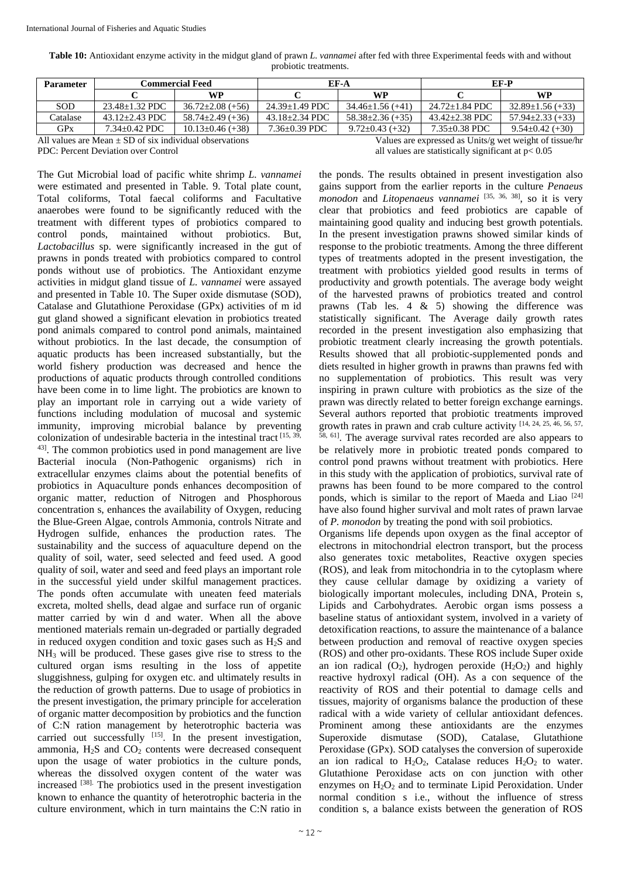| Table 10: Antioxidant enzyme activity in the midgut gland of prawn L. vannamei after fed with three Experimental feeds with and without |  |
|-----------------------------------------------------------------------------------------------------------------------------------------|--|
| probiotic treatments.                                                                                                                   |  |

| <b>Parameter</b>                                                                                                     | <b>Commercial Feed</b> |                        | EF-A                |                        | EF-P                |                        |
|----------------------------------------------------------------------------------------------------------------------|------------------------|------------------------|---------------------|------------------------|---------------------|------------------------|
|                                                                                                                      |                        | <b>WP</b>              |                     | <b>WP</b>              |                     | WP                     |
| <b>SOD</b>                                                                                                           | $23.48 + 1.32$ PDC     | $36.72 \pm 2.08$ (+56) | $24.39 + 1.49$ PDC  | $34.46 \pm 1.56$ (+41) | 24.72+1.84 PDC      | $32.89 \pm 1.56 (+33)$ |
| Catalase                                                                                                             | $43.12 + 2.43$ PDC     | $58.74 \pm 2.49 (+36)$ | $43.18 + 2.34$ PDC  | $58.38 \pm 2.36 (+35)$ | $43.42 + 2.38$ PDC  | $57.94 \pm 2.33 (+33)$ |
| GPX                                                                                                                  | $7.34 + 0.42$ PDC      | $10.13 \pm 0.46 (+38)$ | $7.36 \pm 0.39$ PDC | $9.72 \pm 0.43 (+32)$  | $7.35 \pm 0.38$ PDC | $9.54 \pm 0.42 (+30)$  |
| All values are Mean $+$ SD of six individual observations<br>Values are expressed as Units/g wet weight of tissue/hr |                        |                        |                     |                        |                     |                        |

The Gut Microbial load of pacific white shrimp *L. vannamei*  were estimated and presented in Table. 9. Total plate count, Total coliforms, Total faecal coliforms and Facultative anaerobes were found to be significantly reduced with the treatment with different types of probiotics compared to control ponds, maintained without probiotics. But, *Lactobacillus* sp. were significantly increased in the gut of prawns in ponds treated with probiotics compared to control ponds without use of probiotics. The Antioxidant enzyme activities in midgut gland tissue of *L. vannamei* were assayed and presented in Table 10. The Super oxide dismutase (SOD), Catalase and Glutathione Peroxidase (GPx) activities of m id gut gland showed a significant elevation in probiotics treated pond animals compared to control pond animals, maintained without probiotics. In the last decade, the consumption of aquatic products has been increased substantially, but the world fishery production was decreased and hence the productions of aquatic products through controlled conditions have been come in to lime light. The probiotics are known to play an important role in carrying out a wide variety of functions including modulation of mucosal and systemic immunity, improving microbial balance by preventing colonization of undesirable bacteria in the intestinal tract [15, 39, 43]. The common probiotics used in pond management are live Bacterial inocula (Non-Pathogenic organisms) rich in extracellular enzymes claims about the potential benefits of probiotics in Aquaculture ponds enhances decomposition of organic matter, reduction of Nitrogen and Phosphorous concentration s, enhances the availability of Oxygen, reducing the Blue-Green Algae, controls Ammonia, controls Nitrate and Hydrogen sulfide, enhances the production rates. The sustainability and the success of aquaculture depend on the quality of soil, water, seed selected and feed used. A good quality of soil, water and seed and feed plays an important role in the successful yield under skilful management practices. The ponds often accumulate with uneaten feed materials excreta, molted shells, dead algae and surface run of organic matter carried by win d and water. When all the above mentioned materials remain un-degraded or partially degraded in reduced oxygen condition and toxic gases such as  $H_2S$  and NH3 will be produced. These gases give rise to stress to the cultured organ isms resulting in the loss of appetite sluggishness, gulping for oxygen etc. and ultimately results in the reduction of growth patterns. Due to usage of probiotics in the present investigation, the primary principle for acceleration of organic matter decomposition by probiotics and the function of C:N ration management by heterotrophic bacteria was carried out successfully [15]. In the present investigation, ammonia,  $H_2S$  and  $CO_2$  contents were decreased consequent upon the usage of water probiotics in the culture ponds, whereas the dissolved oxygen content of the water was increased  $^{[38]}$ . The probiotics used in the present investigation known to enhance the quantity of heterotrophic bacteria in the culture environment, which in turn maintains the C:N ratio in

PDC: Percent Deviation over Control all values are statistically significant at  $p < 0.05$ 

the ponds. The results obtained in present investigation also gains support from the earlier reports in the culture *Penaeus monodon* and *Litopenaeus vannamei* [35, 36, 38], so it is very clear that probiotics and feed probiotics are capable of maintaining good quality and inducing best growth potentials. In the present investigation prawns showed similar kinds of response to the probiotic treatments. Among the three different types of treatments adopted in the present investigation, the treatment with probiotics yielded good results in terms of productivity and growth potentials. The average body weight of the harvested prawns of probiotics treated and control prawns (Tab les. 4 & 5) showing the difference was statistically significant. The Average daily growth rates recorded in the present investigation also emphasizing that probiotic treatment clearly increasing the growth potentials. Results showed that all probiotic-supplemented ponds and diets resulted in higher growth in prawns than prawns fed with no supplementation of probiotics. This result was very inspiring in prawn culture with probiotics as the size of the prawn was directly related to better foreign exchange earnings. Several authors reported that probiotic treatments improved growth rates in prawn and crab culture activity [14, 24, 25, 46, 56, 57, 58, 61]. The average survival rates recorded are also appears to

be relatively more in probiotic treated ponds compared to control pond prawns without treatment with probiotics. Here in this study with the application of probiotics, survival rate of prawns has been found to be more compared to the control ponds, which is similar to the report of Maeda and Liao [24] have also found higher survival and molt rates of prawn larvae of *P. monodon* by treating the pond with soil probiotics.

Organisms life depends upon oxygen as the final acceptor of electrons in mitochondrial electron transport, but the process also generates toxic metabolites, Reactive oxygen species (ROS), and leak from mitochondria in to the cytoplasm where they cause cellular damage by oxidizing a variety of biologically important molecules, including DNA, Protein s, Lipids and Carbohydrates. Aerobic organ isms possess a baseline status of antioxidant system, involved in a variety of detoxification reactions, to assure the maintenance of a balance between production and removal of reactive oxygen species (ROS) and other pro-oxidants. These ROS include Super oxide an ion radical  $(O_2)$ , hydrogen peroxide  $(H_2O_2)$  and highly reactive hydroxyl radical (OH). As a con sequence of the reactivity of ROS and their potential to damage cells and tissues, majority of organisms balance the production of these radical with a wide variety of cellular antioxidant defences. Prominent among these antioxidants are the enzymes Superoxide dismutase (SOD), Catalase, Glutathione Peroxidase (GPx). SOD catalyses the conversion of superoxide an ion radical to  $H_2O_2$ , Catalase reduces  $H_2O_2$  to water. Glutathione Peroxidase acts on con junction with other enzymes on  $H_2O_2$  and to terminate Lipid Peroxidation. Under normal condition s i.e., without the influence of stress condition s, a balance exists between the generation of ROS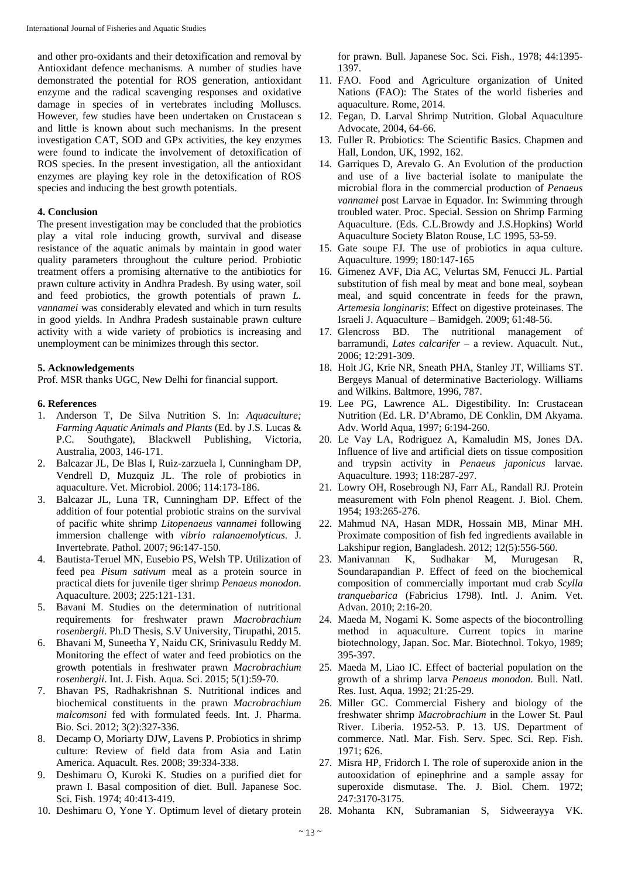and other pro-oxidants and their detoxification and removal by Antioxidant defence mechanisms. A number of studies have demonstrated the potential for ROS generation, antioxidant enzyme and the radical scavenging responses and oxidative damage in species of in vertebrates including Molluscs. However, few studies have been undertaken on Crustacean s and little is known about such mechanisms. In the present investigation CAT, SOD and GPx activities, the key enzymes were found to indicate the involvement of detoxification of ROS species. In the present investigation, all the antioxidant enzymes are playing key role in the detoxification of ROS species and inducing the best growth potentials.

#### **4. Conclusion**

The present investigation may be concluded that the probiotics play a vital role inducing growth, survival and disease resistance of the aquatic animals by maintain in good water quality parameters throughout the culture period. Probiotic treatment offers a promising alternative to the antibiotics for prawn culture activity in Andhra Pradesh. By using water, soil and feed probiotics, the growth potentials of prawn *L. vannamei* was considerably elevated and which in turn results in good yields. In Andhra Pradesh sustainable prawn culture activity with a wide variety of probiotics is increasing and unemployment can be minimizes through this sector.

## **5. Acknowledgements**

Prof. MSR thanks UGC, New Delhi for financial support.

## **6. References**

- 1. Anderson T, De Silva Nutrition S. In: *Aquaculture; Farming Aquatic Animals and Plants* (Ed. by J.S. Lucas & P.C. Southgate), Blackwell Publishing, Victoria, Australia, 2003, 146-171.
- 2. Balcazar JL, De Blas I, Ruiz-zarzuela I, Cunningham DP, Vendrell D, Muzquiz JL. The role of probiotics in aquaculture. Vet. Microbiol. 2006; 114:173-186.
- 3. Balcazar JL, Luna TR, Cunningham DP. Effect of the addition of four potential probiotic strains on the survival of pacific white shrimp *Litopenaeus vannamei* following immersion challenge with *vibrio ralanaemolyticus*. J. Invertebrate. Pathol. 2007; 96:147-150.
- 4. Bautista-Teruel MN, Eusebio PS, Welsh TP. Utilization of feed pea *Pisum sativum* meal as a protein source in practical diets for juvenile tiger shrimp *Penaeus monodon*. Aquaculture. 2003; 225:121-131.
- 5. Bavani M. Studies on the determination of nutritional requirements for freshwater prawn *Macrobrachium rosenbergii*. Ph.D Thesis, S.V University, Tirupathi, 2015.
- 6. Bhavani M, Suneetha Y, Naidu CK, Srinivasulu Reddy M. Monitoring the effect of water and feed probiotics on the growth potentials in freshwater prawn *Macrobrachium rosenbergii*. Int. J. Fish. Aqua. Sci. 2015; 5(1):59-70.
- 7. Bhavan PS, Radhakrishnan S. Nutritional indices and biochemical constituents in the prawn *Macrobrachium malcomsoni* fed with formulated feeds. Int. J. Pharma. Bio. Sci. 2012; 3(2):327-336.
- 8. Decamp O, Moriarty DJW, Lavens P. Probiotics in shrimp culture: Review of field data from Asia and Latin America. Aquacult. Res. 2008; 39:334-338.
- 9. Deshimaru O, Kuroki K. Studies on a purified diet for prawn I. Basal composition of diet. Bull. Japanese Soc. Sci. Fish. 1974; 40:413-419.
- 10. Deshimaru O, Yone Y. Optimum level of dietary protein

for prawn. Bull. Japanese Soc. Sci. Fish.*,* 1978; 44:1395- 1397.

- 11. FAO. Food and Agriculture organization of United Nations (FAO): The States of the world fisheries and aquaculture. Rome, 2014.
- 12. Fegan, D. Larval Shrimp Nutrition. Global Aquaculture Advocate, 2004, 64-66.
- 13. Fuller R. Probiotics: The Scientific Basics. Chapmen and Hall, London, UK, 1992, 162.
- 14. Garriques D, Arevalo G. An Evolution of the production and use of a live bacterial isolate to manipulate the microbial flora in the commercial production of *Penaeus vannamei* post Larvae in Equador. In: Swimming through troubled water. Proc. Special. Session on Shrimp Farming Aquaculture. (Eds. C.L.Browdy and J.S.Hopkins) World Aquaculture Society Blaton Rouse, LC 1995, 53-59.
- 15. Gate soupe FJ. The use of probiotics in aqua culture. Aquaculture. 1999; 180:147-165
- 16. Gimenez AVF, Dia AC, Velurtas SM, Fenucci JL. Partial substitution of fish meal by meat and bone meal, soybean meal, and squid concentrate in feeds for the prawn, *Artemesia longinaris*: Effect on digestive proteinases. The Israeli J. Aquaculture – Bamidgeh. 2009; 61:48-56.
- 17. Glencross BD. The nutritional management of barramundi, *Lates calcarifer* – a review. Aquacult. Nut., 2006; 12:291-309.
- 18. Holt JG, Krie NR, Sneath PHA, Stanley JT, Williams ST. Bergeys Manual of determinative Bacteriology. Williams and Wilkins. Baltmore, 1996, 787.
- 19. Lee PG, Lawrence AL. Digestibility. In: Crustacean Nutrition (Ed. LR. D'Abramo, DE Conklin, DM Akyama. Adv. World Aqua, 1997; 6:194-260.
- 20. Le Vay LA, Rodriguez A, Kamaludin MS, Jones DA. Influence of live and artificial diets on tissue composition and trypsin activity in *Penaeus japonicus* larvae. Aquaculture. 1993; 118:287-297.
- 21. Lowry OH, Rosebrough NJ, Farr AL, Randall RJ. Protein measurement with Foln phenol Reagent. J. Biol. Chem. 1954; 193:265-276.
- 22. Mahmud NA, Hasan MDR, Hossain MB, Minar MH. Proximate composition of fish fed ingredients available in Lakshipur region, Bangladesh. 2012; 12(5):556-560.
- 23. Manivannan K, Sudhakar M, Murugesan R, Soundarapandian P. Effect of feed on the biochemical composition of commercially important mud crab *Scylla tranquebarica* (Fabricius 1798). Intl. J. Anim. Vet. Advan. 2010; 2:16-20.
- 24. Maeda M, Nogami K. Some aspects of the biocontrolling method in aquaculture. Current topics in marine biotechnology, Japan. Soc. Mar. Biotechnol. Tokyo, 1989; 395-397.
- 25. Maeda M, Liao IC. Effect of bacterial population on the growth of a shrimp larva *Penaeus monodon*. Bull. Natl. Res. Iust. Aqua. 1992; 21:25-29.
- 26. Miller GC. Commercial Fishery and biology of the freshwater shrimp *Macrobrachium* in the Lower St. Paul River. Liberia. 1952-53. P. 13. US. Department of commerce. Natl. Mar. Fish. Serv. Spec. Sci. Rep. Fish. 1971; 626.
- 27. Misra HP, Fridorch I. The role of superoxide anion in the autooxidation of epinephrine and a sample assay for superoxide dismutase. The. J. Biol. Chem. 1972; 247:3170-3175.
- 28. Mohanta KN, Subramanian S, Sidweerayya VK.